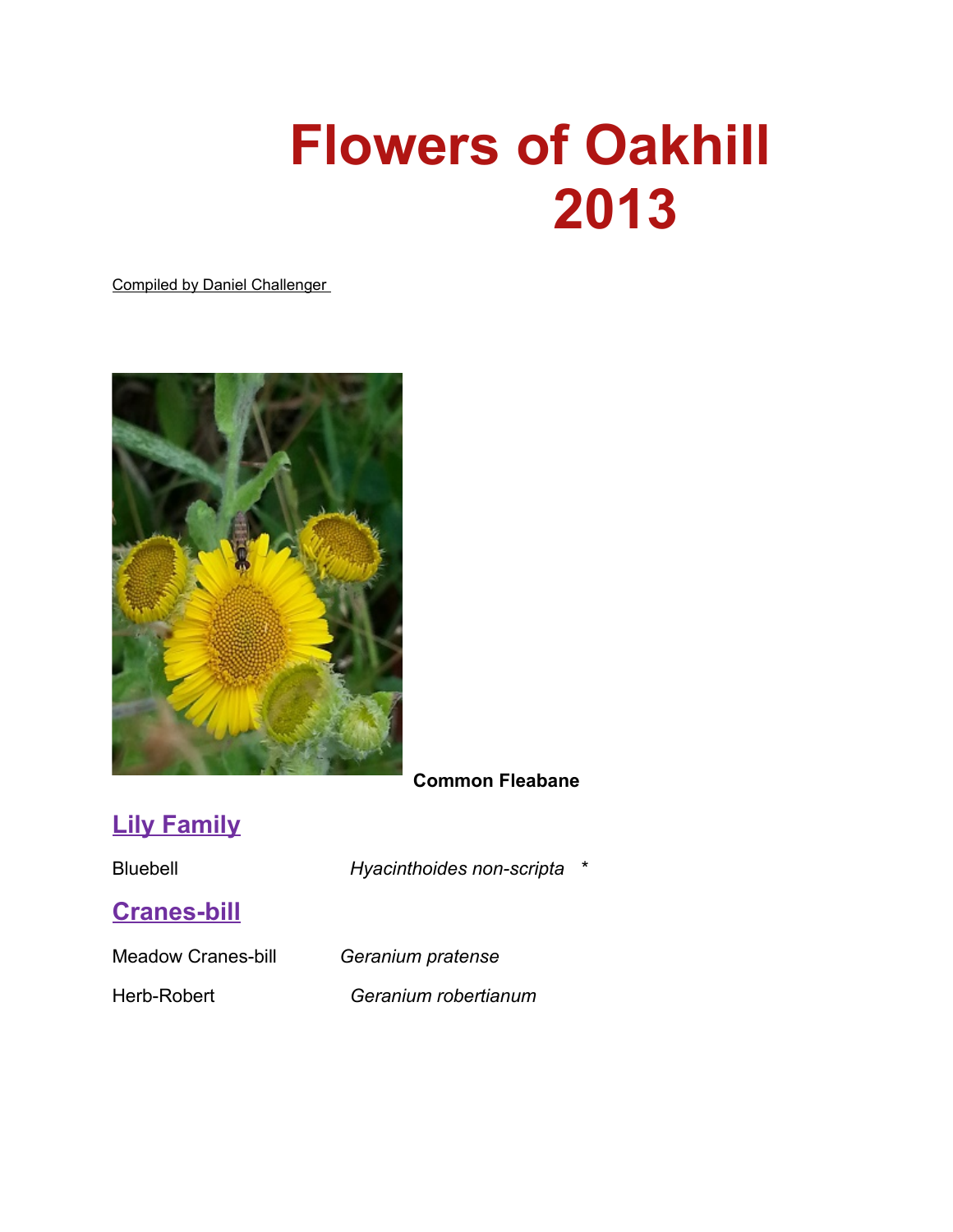# **Flowers of Oakhill 2013**

Compiled by Daniel Challenger



#### **Common Fleabane**

## **Lily Family**

Bluebell *Hyacinthoides non-scripta \**

#### **Cranes-bill**

Meadow Cranes-bill *Geranium pratense*

Herb-Robert *Geranium robertianum*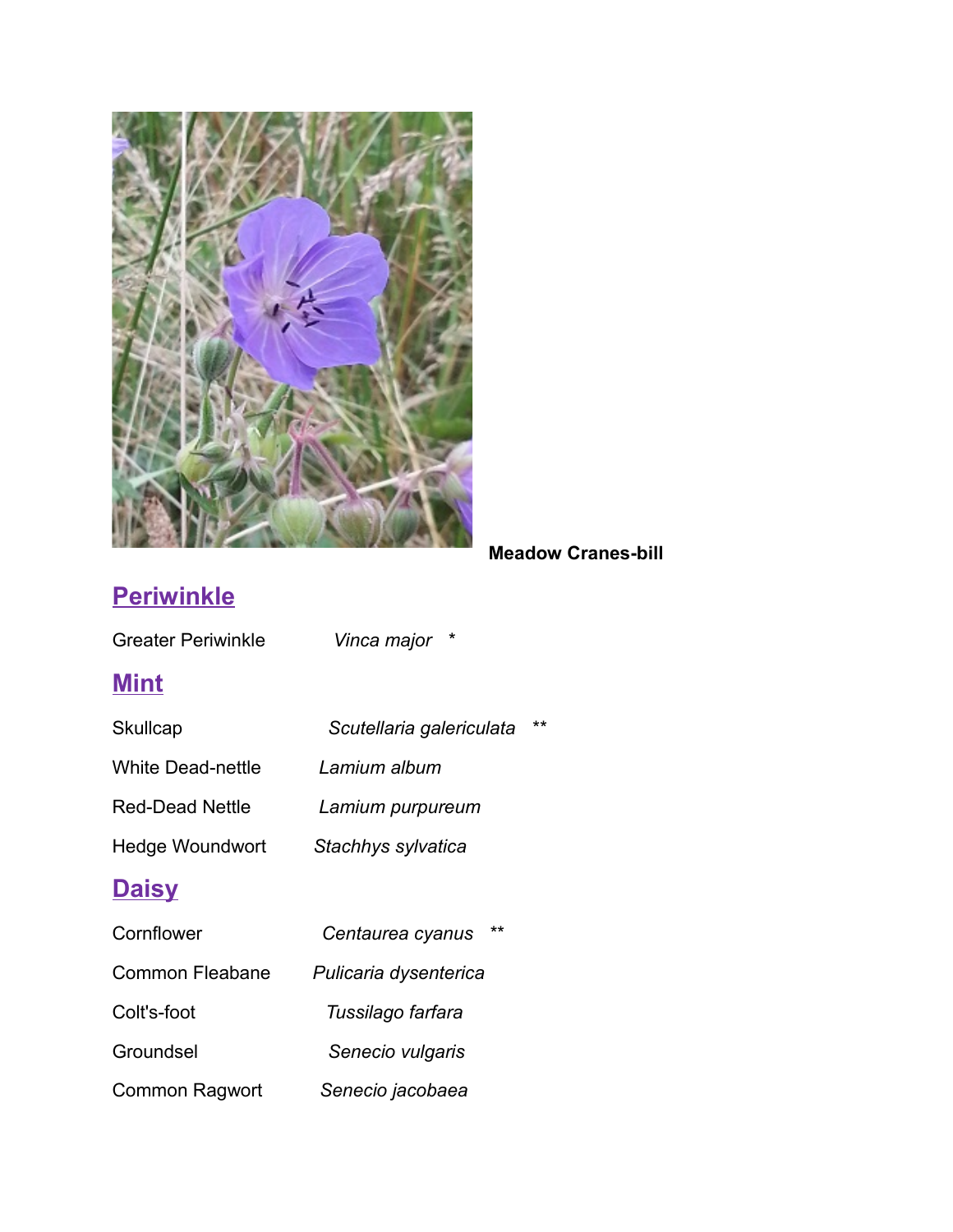

#### **Meadow Cranes-bill**

# **Periwinkle**

| <b>Greater Periwinkle</b> | Vinca major              |              |
|---------------------------|--------------------------|--------------|
| <b>Mint</b>               |                          |              |
| <b>Skullcap</b>           | Scutellaria galericulata | $\star\star$ |
| <b>White Dead-nettle</b>  | Lamium album             |              |
| <b>Red-Dead Nettle</b>    | Lamium purpureum         |              |
| Hedge Woundwort           | Stachhys sylvatica       |              |
| <b>Daisy</b>              |                          |              |
| Cornflower                | **<br>Centaurea cyanus   |              |
| Common Fleabane           | Pulicaria dysenterica    |              |
| Colt's-foot               | Tussilago farfara        |              |
| Groundsel                 | Senecio vulgaris         |              |
| <b>Common Ragwort</b>     | Senecio jacobaea         |              |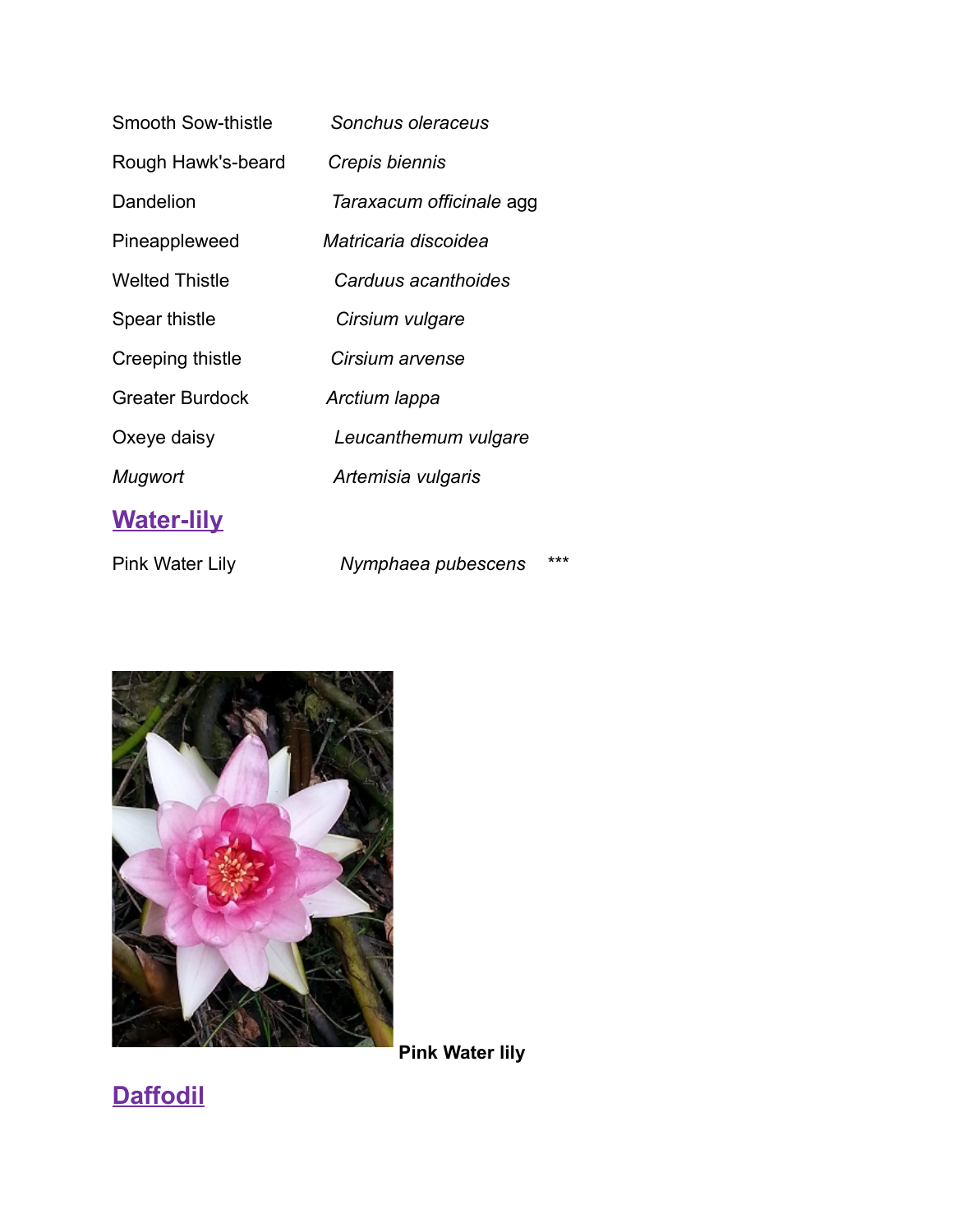| Smooth Sow-thistle     | Sonchus oleraceus         |
|------------------------|---------------------------|
| Rough Hawk's-beard     | Crepis biennis            |
| Dandelion              | Taraxacum officinale agg  |
| Pineappleweed          | Matricaria discoidea      |
| <b>Welted Thistle</b>  | Carduus acanthoides       |
| Spear thistle          | Cirsium vulgare           |
| Creeping thistle       | Cirsium arvense           |
| <b>Greater Burdock</b> | Arctium Iappa             |
| Oxeye daisy            | Leucanthemum vulgare      |
| Mugwort                | Artemisia vulgaris        |
| <b>Water-lily</b>      |                           |
| Pink Water Lily        | ***<br>Nymphaea pubescens |



 **Pink Water lily**

**Daffodil**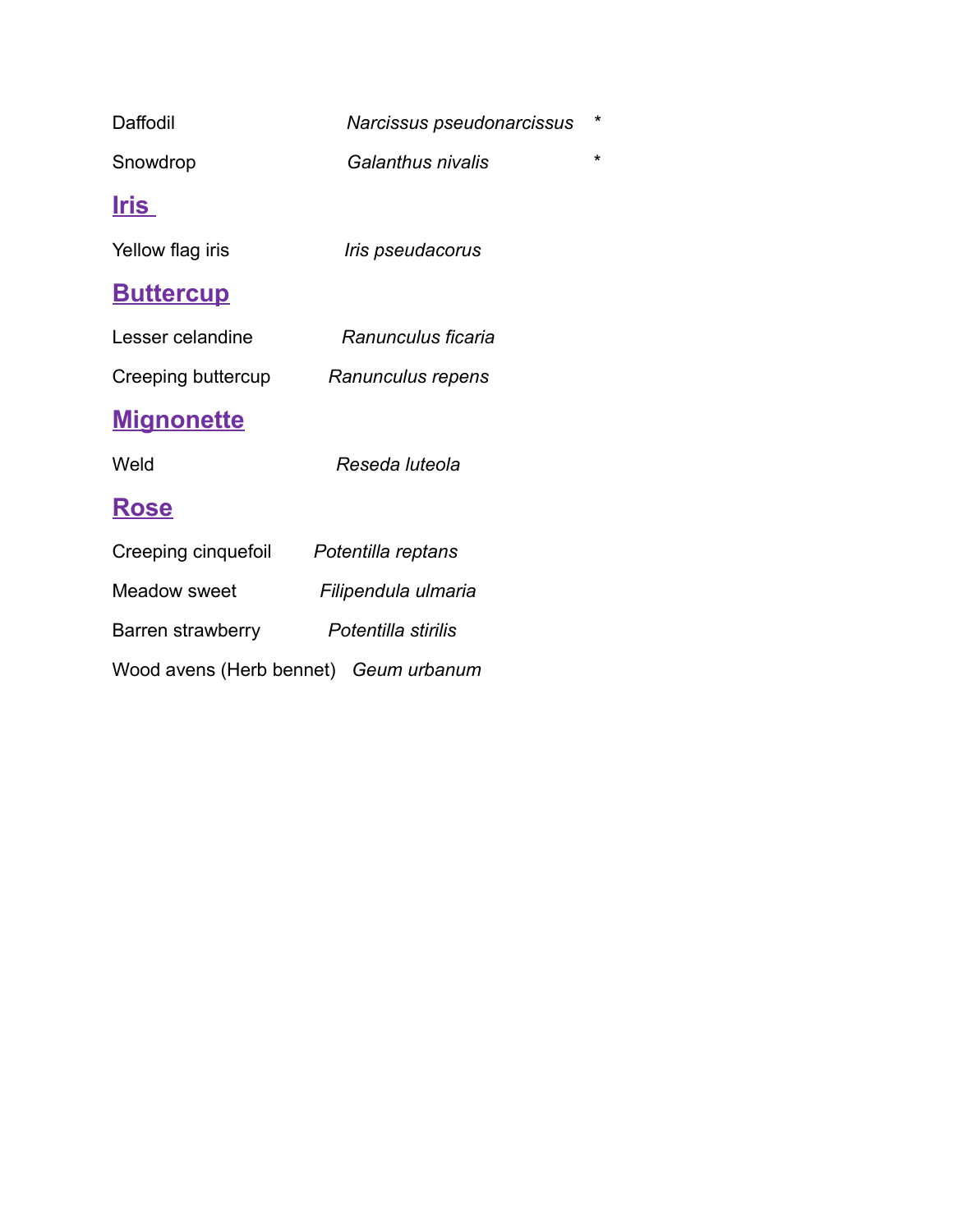| Daffodil                              | Narcissus pseudonarcissus      | $\star$ |
|---------------------------------------|--------------------------------|---------|
| Snowdrop                              | Galanthus nivalis              | $\star$ |
| <u>Iris</u>                           |                                |         |
| Yellow flag iris                      | <i><b>Iris pseudacorus</b></i> |         |
| <u>Buttercup</u>                      |                                |         |
| Lesser celandine                      | Ranunculus ficaria             |         |
| Creeping buttercup                    | Ranunculus repens              |         |
| <u>Mignonette</u>                     |                                |         |
| Weld                                  | Reseda luteola                 |         |
| <b>Rose</b>                           |                                |         |
| Creeping cinquefoil                   | Potentilla reptans             |         |
| <b>Meadow sweet</b>                   | Filipendula ulmaria            |         |
| Barren strawberry                     | Potentilla stirilis            |         |
| Wood avens (Herb bennet) Geum urbanum |                                |         |
|                                       |                                |         |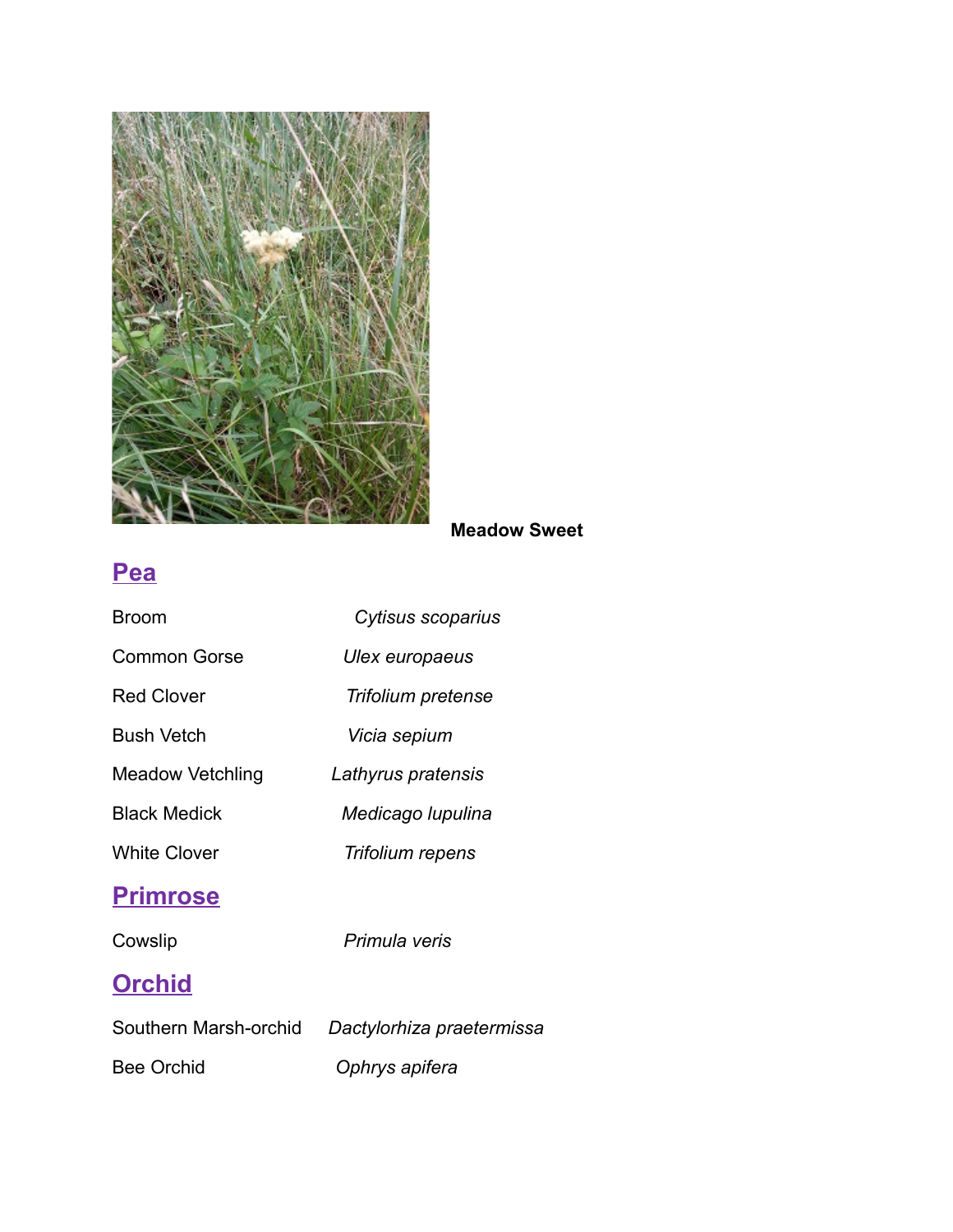

#### **Meadow Sweet**

### **Pea**

| Broom                 | Cytisus scoparius         |
|-----------------------|---------------------------|
| <b>Common Gorse</b>   | Ulex europaeus            |
| <b>Red Clover</b>     | Trifolium pretense        |
| Bush Vetch            | Vicia sepium              |
| Meadow Vetchling      | Lathyrus pratensis        |
| <b>Black Medick</b>   | Medicago Iupulina         |
| <b>White Clover</b>   | Trifolium repens          |
| <b>Primrose</b>       |                           |
| Cowslip               | Primula veris             |
| <b>Orchid</b>         |                           |
| Southern Marsh-orchid | Dactylorhiza praetermissa |

Bee Orchid *Ophrys apifera*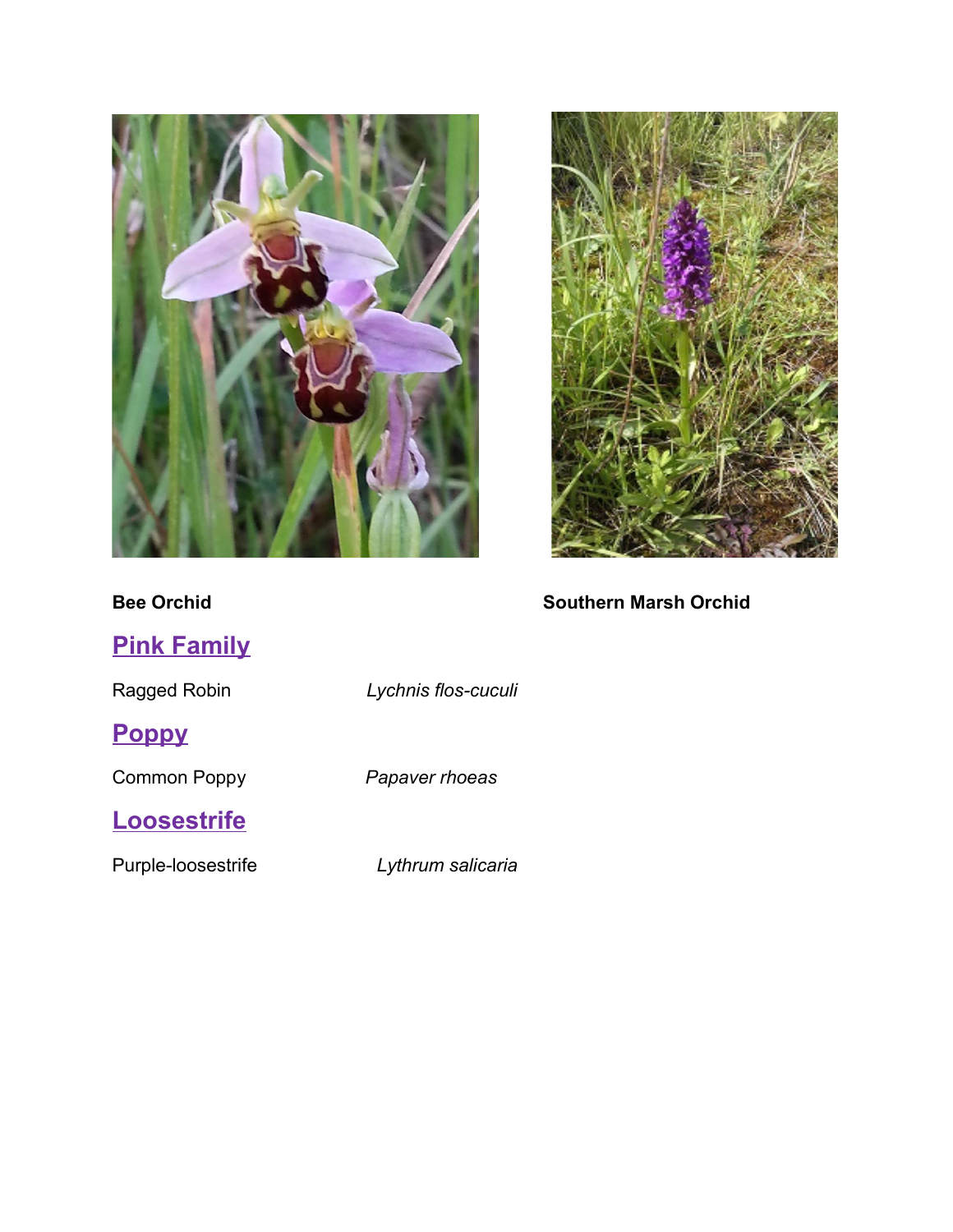![](_page_5_Picture_0.jpeg)

![](_page_5_Picture_1.jpeg)

#### **Bee Orchid Southern Marsh Orchid Southern Marsh Orchid**

| <b>Pink Family</b> |                     |
|--------------------|---------------------|
| Ragged Robin       | Lychnis flos-cuculi |
| <b>Poppy</b>       |                     |
| Common Poppy       | Papaver rhoeas      |
| <b>Loosestrife</b> |                     |
| Purple-loosestrife | Lythrum salicaria   |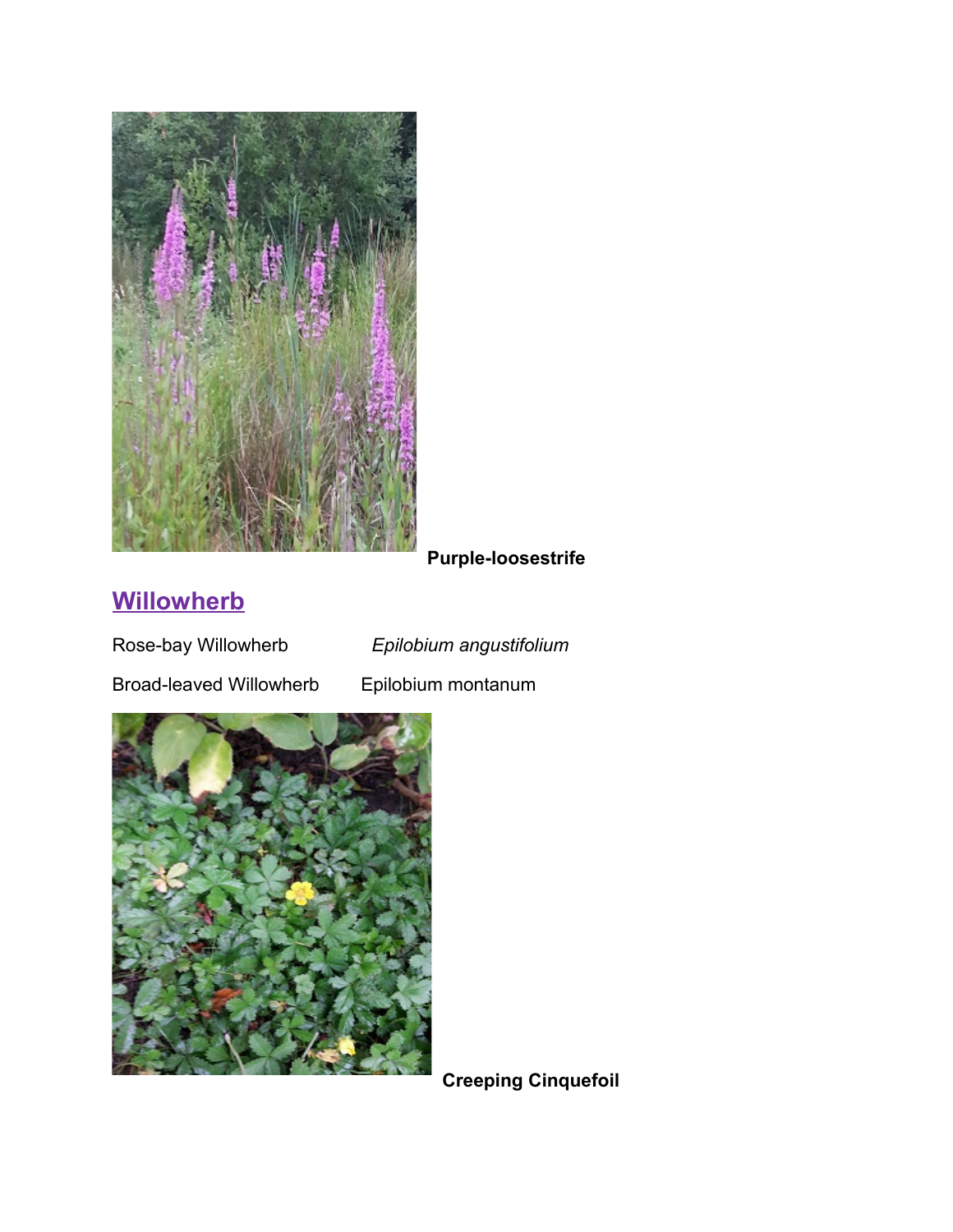![](_page_6_Picture_0.jpeg)

**Purple-loosestrife**

# **Willowherb**

Rose-bay Willowherb *Epilobium angustifolium*

Broad-leaved Willowherb Epilobium montanum

![](_page_6_Picture_7.jpeg)

**Creeping Cinquefoil**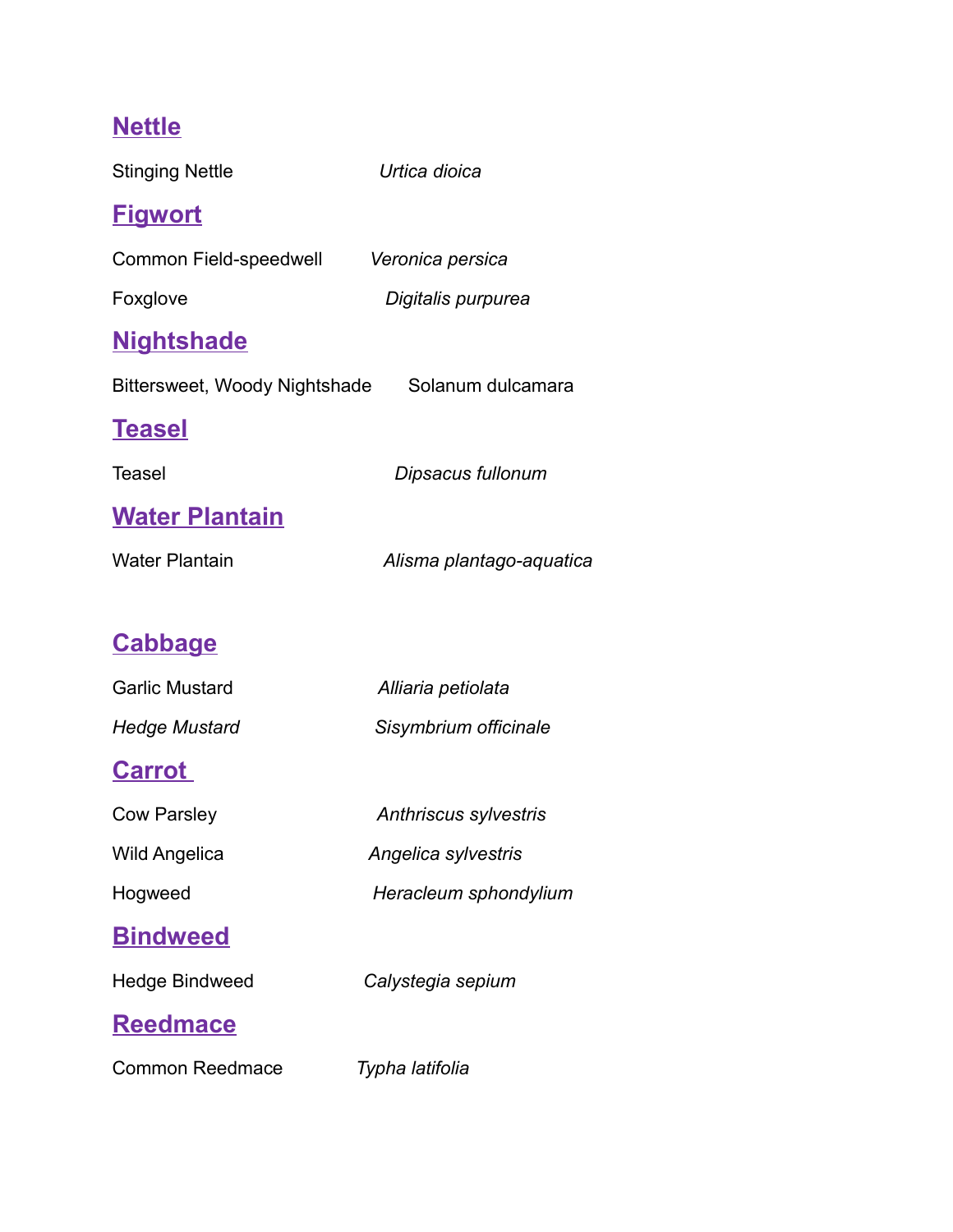# **Nettle**

| <b>Stinging Nettle</b>                          | Urtica dioica                |
|-------------------------------------------------|------------------------------|
| <u>Figwort</u>                                  |                              |
| Common Field-speedwell                          | Veronica persica             |
| Foxglove                                        | Digitalis purpurea           |
| <u>Nightshade</u>                               |                              |
| Bittersweet, Woody Nightshade Solanum dulcamara |                              |
| <u>Teasel</u>                                   |                              |
| Teasel                                          | Dipsacus fullonum            |
| <b>Water Plantain</b>                           |                              |
| Water Plantain                                  | Alisma plantago-aquatica     |
|                                                 |                              |
| <b>Cabbage</b>                                  |                              |
| <b>Garlic Mustard</b>                           | Alliaria petiolata           |
| Hedge Mustard                                   | Sisymbrium officinale        |
| <b>Carrot</b>                                   |                              |
| <b>Cow Parsley</b>                              | <b>Anthriscus sylvestris</b> |
| <b>Wild Angelica</b>                            | Angelica sylvestris          |
| Hogweed                                         | Heracleum sphondylium        |
| <u>Bindweed</u>                                 |                              |
| <b>Hedge Bindweed</b>                           | Calystegia sepium            |
| <b>Reedmace</b>                                 |                              |
| <b>Common Reedmace</b>                          | Typha latifolia              |